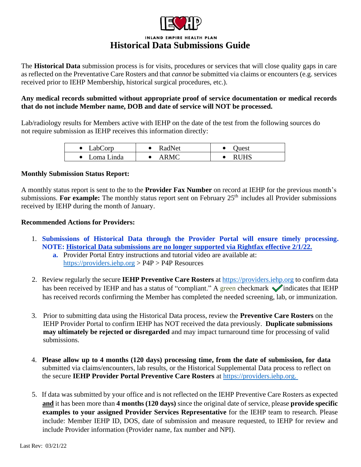

The **Historical Data** submission process is for visits, procedures or services that will close quality gaps in care as reflected on the Preventative Care Rosters and that *cannot* be submitted via claims or encounters (e.g. services received prior to IEHP Membership, historical surgical procedures, etc.).

#### **Any medical records submitted without appropriate proof of service documentation or medical records that do not include Member name, DOB and date of service will NOT be processed.**

Lab/radiology results for Members active with IEHP on the date of the test from the following sources do not require submission as IEHP receives this information directly:

| LabCorp      | RadNet      | )uest       |
|--------------|-------------|-------------|
| • Loma Linda | <b>ARMC</b> | <b>RUHS</b> |

#### **Monthly Submission Status Report:**

A monthly status report is sent to the to the **Provider Fax Number** on record at IEHP for the previous month's submissions. For **example:** The monthly status report sent on February 25<sup>th</sup> includes all Provider submissions received by IEHP during the month of January.

#### **Recommended Actions for Providers:**

- 1. **Submissions of Historical Data through the Provider Portal will ensure timely processing. NOTE: Historical Data submissions are no longer supported via Rightfax effective 2/1/22.**
	- **a.** Provider Portal Entry instructions and tutorial video are available at: https://providers.iehp.org > P4P > P4P Resources
- 2. Review regularly the secure **IEHP Preventive Care Rosters** at [https://providers.iehp.org](https://providers.iehp.org/) to confirm data has been received by IEHP and has a status of "compliant." A green checkmark vindicates that IEHP has received records confirming the Member has completed the needed screening, lab, or immunization.
- 3. Prior to submitting data using the Historical Data process, review the **Preventive Care Rosters** on the IEHP Provider Portal to confirm IEHP has NOT received the data previously. **Duplicate submissions may ultimately be rejected or disregarded** and may impact turnaround time for processing of valid submissions.
- 4. **Please allow up to 4 months (120 days) processing time, from the date of submission, for data** submitted via claims/encounters, lab results, or the Historical Supplemental Data process to reflect on the secure **IEHP Provider Portal Preventive Care Rosters** at [https://providers.iehp.org.](https://providers.iehp.org/)
- 5. If data was submitted by your office and is not reflected on the IEHP Preventive Care Rosters as expected **and** it has been more than **4 months (120 days)** since the original date of service, please **provide specific examples to your assigned Provider Services Representative** for the IEHP team to research. Please include: Member IEHP ID, DOS, date of submission and measure requested, to IEHP for review and include Provider information (Provider name, fax number and NPI).